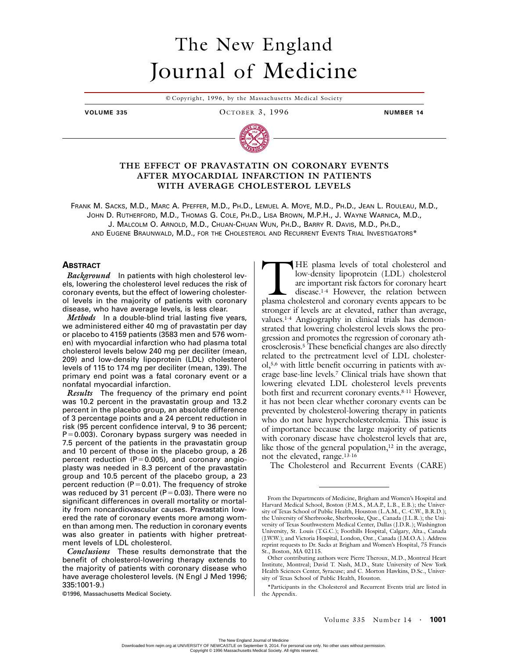# The New England Journal of Medicine

© Copyright, 1996, by the Massachusetts Medical Society

#### **VOLUME 335 OCTOBER 3, 1996 NUMBER 14**



## **THE EFFECT OF PRAVASTATIN ON CORONARY EVENTS AFTER MYOCARDIAL INFARCTION IN PATIENTS WITH AVERAGE CHOLESTEROL LEVELS**

FRANK M. SACKS, M.D., MARC A. PFEFFER, M.D., PH.D., LEMUEL A. MOYE, M.D., PH.D., JEAN L. ROULEAU, M.D., JOHN D. RUTHERFORD, M.D., THOMAS G. COLE, PH.D., LISA BROWN, M.P.H., J. WAYNE WARNICA, M.D., J. MALCOLM O. ARNOLD, M.D., CHUAN-CHUAN WUN, PH.D., BARRY R. DAVIS, M.D., PH.D., AND EUGENE BRAUNWALD, M.D., FOR THE CHOLESTEROL AND RECURRENT EVENTS TRIAL INVESTIGATORS\*

## **ABSTRACT**

*Background* In patients with high cholesterol levels, lowering the cholesterol level reduces the risk of coronary events, but the effect of lowering cholesterol levels in the majority of patients with coronary disease, who have average levels, is less clear.

*Methods* In a double-blind trial lasting five years, we administered either 40 mg of pravastatin per day or placebo to 4159 patients (3583 men and 576 women) with myocardial infarction who had plasma total cholesterol levels below 240 mg per deciliter (mean, 209) and low-density lipoprotein (LDL) cholesterol levels of 115 to 174 mg per deciliter (mean, 139). The primary end point was a fatal coronary event or a nonfatal myocardial infarction.

*Results* The frequency of the primary end point was 10.2 percent in the pravastatin group and 13.2 percent in the placebo group, an absolute difference of 3 percentage points and a 24 percent reduction in risk (95 percent confidence interval, 9 to 36 percent;  $P = 0.003$ ). Coronary bypass surgery was needed in 7.5 percent of the patients in the pravastatin group and 10 percent of those in the placebo group, a 26 percent reduction  $(P=0.005)$ , and coronary angioplasty was needed in 8.3 percent of the pravastatin group and 10.5 percent of the placebo group, a 23 percent reduction ( $P = 0.01$ ). The frequency of stroke was reduced by 31 percent (P=0.03). There were no significant differences in overall mortality or mortality from noncardiovascular causes. Pravastatin lowered the rate of coronary events more among women than among men. The reduction in coronary events was also greater in patients with higher pretreatment levels of LDL cholesterol.

HE plasma levels of total cholesterol and low-density lipoprotein (LDL) cholesterol are important risk factors for coronary heart disease.1-4 However, the relation between HE plasma levels of total cholesterol and<br>low-density lipoprotein (LDL) cholesterol<br>are important risk factors for coronary heart<br>disease.<sup>1-4</sup> However, the relation between<br>plasma cholesterol and coronary events appears t stronger if levels are at elevated, rather than average, values.1-4 Angiography in clinical trials has demonstrated that lowering cholesterol levels slows the progression and promotes the regression of coronary atherosclerosis.5 These beneficial changes are also directly related to the pretreatment level of LDL cholesterol,5,6 with little benefit occurring in patients with average base-line levels.7 Clinical trials have shown that lowering elevated LDL cholesterol levels prevents both first and recurrent coronary events.8-11 However, it has not been clear whether coronary events can be prevented by cholesterol-lowering therapy in patients who do not have hypercholesterolemia. This issue is of importance because the large majority of patients with coronary disease have cholesterol levels that are, like those of the general population, $12$  in the average, not the elevated, range.13-16

The Cholesterol and Recurrent Events (CARE)

*Conclusions* These results demonstrate that the benefit of cholesterol-lowering therapy extends to the majority of patients with coronary disease who have average cholesterol levels. (N Engl J Med 1996; 335:1001-9.)

<sup>©1996,</sup> Massachusetts Medical Society.

From the Departments of Medicine, Brigham and Women's Hospital and Harvard Medical School, Boston (F.M.S., M.A.P., L.B., E.B.); the University of Texas School of Public Health, Houston (L.A.M., C.-C.W., B.R.D.); the University of Sherbrooke, Sherbrooke, Que., Canada (J.L.R.); the University of Texas Southwestern Medical Center, Dallas (J.D.R.); Washington University, St. Louis (T.G.C.); Foothills Hospital, Calgary, Alta., Canada (J.W.W.); and Victoria Hospital, London, Ont., Canada (J.M.O.A.). Address reprint requests to Dr. Sacks at Brigham and Women's Hospital, 75 Francis St., Boston, MA 02115.

Other contributing authors were Pierre Theroux, M.D., Montreal Heart Institute, Montreal; David T. Nash, M.D., State University of New York Health Sciences Center, Syracuse; and C. Morton Hawkins, D.Sc., University of Texas School of Public Health, Houston.

<sup>\*</sup>Participants in the Cholesterol and Recurrent Events trial are listed in the Appendix.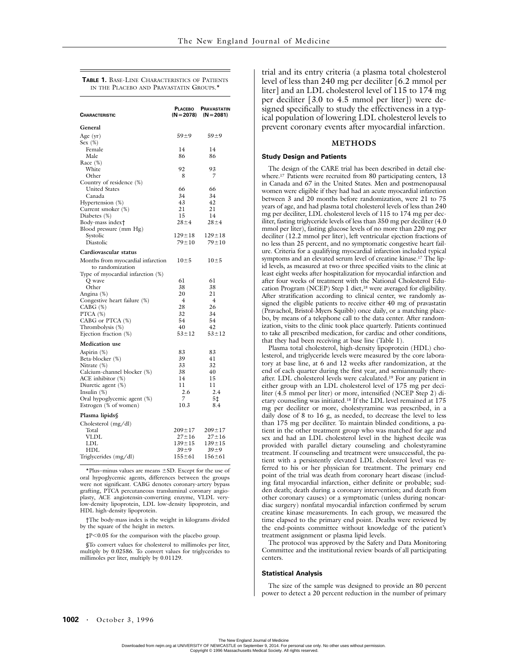**TABLE 1.** BASE-LINE CHARACTERISTICS OF PATIENTS IN THE PLACEBO AND PRAVASTATIN GROUPS.<sup>\*</sup>

| General<br>$59 + 9$<br>$59 + 9$<br>Age $(yr)$<br>Sex $(\%)$<br>Female<br>14<br>14<br>86<br>Male<br>86<br>Race (%)<br>White<br>92<br>93<br>7<br>Other<br>8<br>Country of residence (%)<br><b>United States</b><br>66<br>66<br>Canada<br>34<br>34<br>43<br>42<br>Hypertension (%)<br>21<br>21<br>Current smoker (%)<br>15<br>14<br>Diabetes (%)<br>Body-mass index†<br>$28 \pm 4$<br>$28 + 4$<br>Blood pressure (mm Hg)<br>Systolic<br>$129 \pm 18$<br>$129 \pm 18$<br>Diastolic<br>79±10<br>$79 + 10$<br>Cardiovascular status<br>$10\pm5$<br>$10\pm5$<br>Months from myocardial infarction<br>to randomization<br>Type of myocardial infarction (%)<br>61<br>61<br>Q wave<br>Other<br>38<br>38<br>20<br>21<br>Angina (%)<br>Congestive heart failure (%)<br>$\overline{4}$<br>$\overline{4}$<br>28<br>26<br>$CABG$ $(\%)$<br>PTCA (%)<br>32<br>34<br>54<br>CABG or PTCA (%)<br>54<br>40<br>42<br>Thrombolysis (%)<br>Ejection fraction (%)<br>$53 \pm 12$<br>$53 + 12$<br><b>Medication</b> use<br>Aspirin (%)<br>83<br>83<br>Beta-blocker (%)<br>39<br>41<br>33<br>32<br>Nitrate (%)<br>38<br>40<br>Calcium-channel blocker (%)<br>ACE inhibitor (%)<br>14<br>15<br>11<br>11<br>Diuretic agent (%)<br>2.4<br>2.6<br>Insulin $(\%)$<br>Oral hypoglycemic agent (%)<br>7<br>5‡<br>10.3<br>8.4<br>Estrogen (% of women)<br>Plasma lipids§<br>Cholesterol (mg/dl)<br>$209 \pm 17$<br>$209 \pm 17$<br>Total<br><b>VLDL</b><br>$27 + 16$<br>$27 + 16$ | CHARACTERISTIC | PLACEBO | <b>PRAVASTATIN</b><br>$(N=2078)$ $(N=2081)$ |
|--------------------------------------------------------------------------------------------------------------------------------------------------------------------------------------------------------------------------------------------------------------------------------------------------------------------------------------------------------------------------------------------------------------------------------------------------------------------------------------------------------------------------------------------------------------------------------------------------------------------------------------------------------------------------------------------------------------------------------------------------------------------------------------------------------------------------------------------------------------------------------------------------------------------------------------------------------------------------------------------------------------------------------------------------------------------------------------------------------------------------------------------------------------------------------------------------------------------------------------------------------------------------------------------------------------------------------------------------------------------------------------------------------------------------------------------------|----------------|---------|---------------------------------------------|
|                                                                                                                                                                                                                                                                                                                                                                                                                                                                                                                                                                                                                                                                                                                                                                                                                                                                                                                                                                                                                                                                                                                                                                                                                                                                                                                                                                                                                                                  |                |         |                                             |
|                                                                                                                                                                                                                                                                                                                                                                                                                                                                                                                                                                                                                                                                                                                                                                                                                                                                                                                                                                                                                                                                                                                                                                                                                                                                                                                                                                                                                                                  |                |         |                                             |
|                                                                                                                                                                                                                                                                                                                                                                                                                                                                                                                                                                                                                                                                                                                                                                                                                                                                                                                                                                                                                                                                                                                                                                                                                                                                                                                                                                                                                                                  |                |         |                                             |
|                                                                                                                                                                                                                                                                                                                                                                                                                                                                                                                                                                                                                                                                                                                                                                                                                                                                                                                                                                                                                                                                                                                                                                                                                                                                                                                                                                                                                                                  |                |         |                                             |
|                                                                                                                                                                                                                                                                                                                                                                                                                                                                                                                                                                                                                                                                                                                                                                                                                                                                                                                                                                                                                                                                                                                                                                                                                                                                                                                                                                                                                                                  |                |         |                                             |
|                                                                                                                                                                                                                                                                                                                                                                                                                                                                                                                                                                                                                                                                                                                                                                                                                                                                                                                                                                                                                                                                                                                                                                                                                                                                                                                                                                                                                                                  |                |         |                                             |
|                                                                                                                                                                                                                                                                                                                                                                                                                                                                                                                                                                                                                                                                                                                                                                                                                                                                                                                                                                                                                                                                                                                                                                                                                                                                                                                                                                                                                                                  |                |         |                                             |
|                                                                                                                                                                                                                                                                                                                                                                                                                                                                                                                                                                                                                                                                                                                                                                                                                                                                                                                                                                                                                                                                                                                                                                                                                                                                                                                                                                                                                                                  |                |         |                                             |
|                                                                                                                                                                                                                                                                                                                                                                                                                                                                                                                                                                                                                                                                                                                                                                                                                                                                                                                                                                                                                                                                                                                                                                                                                                                                                                                                                                                                                                                  |                |         |                                             |
|                                                                                                                                                                                                                                                                                                                                                                                                                                                                                                                                                                                                                                                                                                                                                                                                                                                                                                                                                                                                                                                                                                                                                                                                                                                                                                                                                                                                                                                  |                |         |                                             |
|                                                                                                                                                                                                                                                                                                                                                                                                                                                                                                                                                                                                                                                                                                                                                                                                                                                                                                                                                                                                                                                                                                                                                                                                                                                                                                                                                                                                                                                  |                |         |                                             |
|                                                                                                                                                                                                                                                                                                                                                                                                                                                                                                                                                                                                                                                                                                                                                                                                                                                                                                                                                                                                                                                                                                                                                                                                                                                                                                                                                                                                                                                  |                |         |                                             |
|                                                                                                                                                                                                                                                                                                                                                                                                                                                                                                                                                                                                                                                                                                                                                                                                                                                                                                                                                                                                                                                                                                                                                                                                                                                                                                                                                                                                                                                  |                |         |                                             |
|                                                                                                                                                                                                                                                                                                                                                                                                                                                                                                                                                                                                                                                                                                                                                                                                                                                                                                                                                                                                                                                                                                                                                                                                                                                                                                                                                                                                                                                  |                |         |                                             |
|                                                                                                                                                                                                                                                                                                                                                                                                                                                                                                                                                                                                                                                                                                                                                                                                                                                                                                                                                                                                                                                                                                                                                                                                                                                                                                                                                                                                                                                  |                |         |                                             |
|                                                                                                                                                                                                                                                                                                                                                                                                                                                                                                                                                                                                                                                                                                                                                                                                                                                                                                                                                                                                                                                                                                                                                                                                                                                                                                                                                                                                                                                  |                |         |                                             |
|                                                                                                                                                                                                                                                                                                                                                                                                                                                                                                                                                                                                                                                                                                                                                                                                                                                                                                                                                                                                                                                                                                                                                                                                                                                                                                                                                                                                                                                  |                |         |                                             |
|                                                                                                                                                                                                                                                                                                                                                                                                                                                                                                                                                                                                                                                                                                                                                                                                                                                                                                                                                                                                                                                                                                                                                                                                                                                                                                                                                                                                                                                  |                |         |                                             |
|                                                                                                                                                                                                                                                                                                                                                                                                                                                                                                                                                                                                                                                                                                                                                                                                                                                                                                                                                                                                                                                                                                                                                                                                                                                                                                                                                                                                                                                  |                |         |                                             |
|                                                                                                                                                                                                                                                                                                                                                                                                                                                                                                                                                                                                                                                                                                                                                                                                                                                                                                                                                                                                                                                                                                                                                                                                                                                                                                                                                                                                                                                  |                |         |                                             |
|                                                                                                                                                                                                                                                                                                                                                                                                                                                                                                                                                                                                                                                                                                                                                                                                                                                                                                                                                                                                                                                                                                                                                                                                                                                                                                                                                                                                                                                  |                |         |                                             |
|                                                                                                                                                                                                                                                                                                                                                                                                                                                                                                                                                                                                                                                                                                                                                                                                                                                                                                                                                                                                                                                                                                                                                                                                                                                                                                                                                                                                                                                  |                |         |                                             |
|                                                                                                                                                                                                                                                                                                                                                                                                                                                                                                                                                                                                                                                                                                                                                                                                                                                                                                                                                                                                                                                                                                                                                                                                                                                                                                                                                                                                                                                  |                |         |                                             |
|                                                                                                                                                                                                                                                                                                                                                                                                                                                                                                                                                                                                                                                                                                                                                                                                                                                                                                                                                                                                                                                                                                                                                                                                                                                                                                                                                                                                                                                  |                |         |                                             |
|                                                                                                                                                                                                                                                                                                                                                                                                                                                                                                                                                                                                                                                                                                                                                                                                                                                                                                                                                                                                                                                                                                                                                                                                                                                                                                                                                                                                                                                  |                |         |                                             |
|                                                                                                                                                                                                                                                                                                                                                                                                                                                                                                                                                                                                                                                                                                                                                                                                                                                                                                                                                                                                                                                                                                                                                                                                                                                                                                                                                                                                                                                  |                |         |                                             |
|                                                                                                                                                                                                                                                                                                                                                                                                                                                                                                                                                                                                                                                                                                                                                                                                                                                                                                                                                                                                                                                                                                                                                                                                                                                                                                                                                                                                                                                  |                |         |                                             |
|                                                                                                                                                                                                                                                                                                                                                                                                                                                                                                                                                                                                                                                                                                                                                                                                                                                                                                                                                                                                                                                                                                                                                                                                                                                                                                                                                                                                                                                  |                |         |                                             |
|                                                                                                                                                                                                                                                                                                                                                                                                                                                                                                                                                                                                                                                                                                                                                                                                                                                                                                                                                                                                                                                                                                                                                                                                                                                                                                                                                                                                                                                  |                |         |                                             |
|                                                                                                                                                                                                                                                                                                                                                                                                                                                                                                                                                                                                                                                                                                                                                                                                                                                                                                                                                                                                                                                                                                                                                                                                                                                                                                                                                                                                                                                  |                |         |                                             |
|                                                                                                                                                                                                                                                                                                                                                                                                                                                                                                                                                                                                                                                                                                                                                                                                                                                                                                                                                                                                                                                                                                                                                                                                                                                                                                                                                                                                                                                  |                |         |                                             |
|                                                                                                                                                                                                                                                                                                                                                                                                                                                                                                                                                                                                                                                                                                                                                                                                                                                                                                                                                                                                                                                                                                                                                                                                                                                                                                                                                                                                                                                  |                |         |                                             |
|                                                                                                                                                                                                                                                                                                                                                                                                                                                                                                                                                                                                                                                                                                                                                                                                                                                                                                                                                                                                                                                                                                                                                                                                                                                                                                                                                                                                                                                  |                |         |                                             |
|                                                                                                                                                                                                                                                                                                                                                                                                                                                                                                                                                                                                                                                                                                                                                                                                                                                                                                                                                                                                                                                                                                                                                                                                                                                                                                                                                                                                                                                  |                |         |                                             |
|                                                                                                                                                                                                                                                                                                                                                                                                                                                                                                                                                                                                                                                                                                                                                                                                                                                                                                                                                                                                                                                                                                                                                                                                                                                                                                                                                                                                                                                  |                |         |                                             |
|                                                                                                                                                                                                                                                                                                                                                                                                                                                                                                                                                                                                                                                                                                                                                                                                                                                                                                                                                                                                                                                                                                                                                                                                                                                                                                                                                                                                                                                  |                |         |                                             |
|                                                                                                                                                                                                                                                                                                                                                                                                                                                                                                                                                                                                                                                                                                                                                                                                                                                                                                                                                                                                                                                                                                                                                                                                                                                                                                                                                                                                                                                  |                |         |                                             |
|                                                                                                                                                                                                                                                                                                                                                                                                                                                                                                                                                                                                                                                                                                                                                                                                                                                                                                                                                                                                                                                                                                                                                                                                                                                                                                                                                                                                                                                  |                |         |                                             |
|                                                                                                                                                                                                                                                                                                                                                                                                                                                                                                                                                                                                                                                                                                                                                                                                                                                                                                                                                                                                                                                                                                                                                                                                                                                                                                                                                                                                                                                  |                |         |                                             |
|                                                                                                                                                                                                                                                                                                                                                                                                                                                                                                                                                                                                                                                                                                                                                                                                                                                                                                                                                                                                                                                                                                                                                                                                                                                                                                                                                                                                                                                  |                |         |                                             |
|                                                                                                                                                                                                                                                                                                                                                                                                                                                                                                                                                                                                                                                                                                                                                                                                                                                                                                                                                                                                                                                                                                                                                                                                                                                                                                                                                                                                                                                  |                |         |                                             |
| LDL<br>$139 \pm 15$<br>$139 + 15$<br>HDL<br>$39 \pm 9$<br>$39 + 9$                                                                                                                                                                                                                                                                                                                                                                                                                                                                                                                                                                                                                                                                                                                                                                                                                                                                                                                                                                                                                                                                                                                                                                                                                                                                                                                                                                               |                |         |                                             |
| $155 + 61$<br>$156 + 61$<br>Triglycerides (mg/dl)                                                                                                                                                                                                                                                                                                                                                                                                                                                                                                                                                                                                                                                                                                                                                                                                                                                                                                                                                                                                                                                                                                                                                                                                                                                                                                                                                                                                |                |         |                                             |

 $*$ Plus–minus values are means  $\pm$ SD. Except for the use of oral hypoglycemic agents, differences between the groups were not significant. CABG denotes coronary-artery bypass grafting, PTCA percutaneous transluminal coronary angioplasty, ACE angiotensin-converting enzyme, VLDL verylow-density lipoprotein, LDL low-density lipoprotein, and HDL high-density lipoprotein.

†The body-mass index is the weight in kilograms divided by the square of the height in meters.

 $\texttt{tp}<0.05$  for the comparison with the placebo group.

§To convert values for cholesterol to millimoles per liter, multiply by 0.02586. To convert values for triglycerides to millimoles per liter, multiply by 0.01129.

trial and its entry criteria (a plasma total cholesterol level of less than 240 mg per deciliter [6.2 mmol per liter] and an LDL cholesterol level of 115 to 174 mg per deciliter [3.0 to 4.5 mmol per liter]) were designed specifically to study the effectiveness in a typical population of lowering LDL cholesterol levels to prevent coronary events after myocardial infarction.

## **METHODS**

### **Study Design and Patients**

The design of the CARE trial has been described in detail elsewhere.<sup>17</sup> Patients were recruited from 80 participating centers, 13 in Canada and 67 in the United States. Men and postmenopausal women were eligible if they had had an acute myocardial infarction between 3 and 20 months before randomization, were 21 to 75 years of age, and had plasma total cholesterol levels of less than 240 mg per deciliter, LDL cholesterol levels of 115 to 174 mg per deciliter, fasting triglyceride levels of less than 350 mg per deciliter (4.0 mmol per liter), fasting glucose levels of no more than 220 mg per deciliter (12.2 mmol per liter), left ventricular ejection fractions of no less than 25 percent, and no symptomatic congestive heart failure. Criteria for a qualifying myocardial infarction included typical symptoms and an elevated serum level of creatine kinase.17 The lipid levels, as measured at two or three specified visits to the clinic at least eight weeks after hospitalization for myocardial infarction and after four weeks of treatment with the National Cholesterol Education Program (NCEP) Step 1 diet,<sup>18</sup> were averaged for eligibility. After stratification according to clinical center, we randomly assigned the eligible patients to receive either 40 mg of pravastatin (Pravachol, Bristol-Myers Squibb) once daily, or a matching placebo, by means of a telephone call to the data center. After randomization, visits to the clinic took place quarterly. Patients continued to take all prescribed medication, for cardiac and other conditions, that they had been receiving at base line (Table 1).

Plasma total cholesterol, high-density lipoprotein (HDL) cholesterol, and triglyceride levels were measured by the core laboratory at base line, at 6 and 12 weeks after randomization, at the end of each quarter during the first year, and semiannually thereafter. LDL cholesterol levels were calculated.19 For any patient in either group with an LDL cholesterol level of 175 mg per deciliter (4.5 mmol per liter) or more, intensified (NCEP Step 2) dietary counseling was initiated.18 If the LDL level remained at 175 mg per deciliter or more, cholestyramine was prescribed, in a daily dose of 8 to 16 g, as needed, to decrease the level to less than 175 mg per deciliter. To maintain blinded conditions, a patient in the other treatment group who was matched for age and sex and had an LDL cholesterol level in the highest decile was provided with parallel dietary counseling and cholestyramine treatment. If counseling and treatment were unsuccessful, the patient with a persistently elevated LDL cholesterol level was referred to his or her physician for treatment. The primary end point of the trial was death from coronary heart disease (including fatal myocardial infarction, either definite or probable; sudden death; death during a coronary intervention; and death from other coronary causes) or a symptomatic (unless during noncardiac surgery) nonfatal myocardial infarction confirmed by serum creatine kinase measurements. In each group, we measured the time elapsed to the primary end point. Deaths were reviewed by the end-points committee without knowledge of the patient's treatment assignment or plasma lipid levels.

The protocol was approved by the Safety and Data Monitoring Committee and the institutional review boards of all participating centers.

#### **Statistical Analysis**

The size of the sample was designed to provide an 80 percent power to detect a 20 percent reduction in the number of primary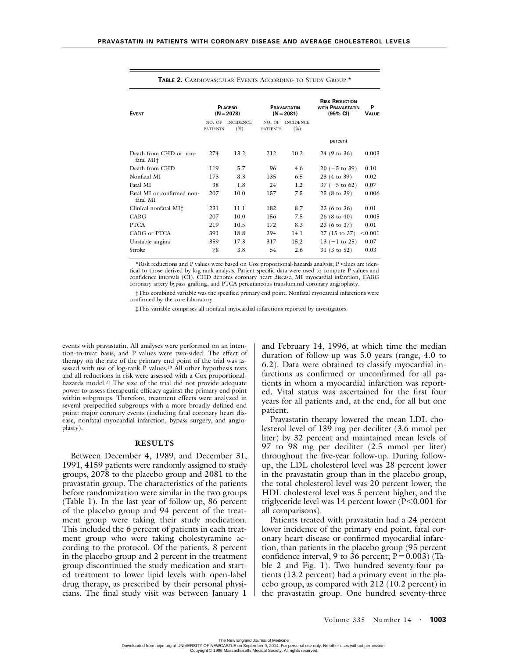| <b>EVENT</b>                           | <b>PLACEBO</b><br>$(N = 2078)$ |                         | <b>PRAVASTATIN</b><br>$(N = 2081)$ |                         | <b>RISK REDUCTION</b><br><b>WITH PRAVASTATIN</b><br>(95% CI) | P<br><b>VALUE</b> |
|----------------------------------------|--------------------------------|-------------------------|------------------------------------|-------------------------|--------------------------------------------------------------|-------------------|
|                                        | NO. OF<br><b>PATIENTS</b>      | <b>INCIDENCE</b><br>(%) | NO. OF<br><b>PATIENTS</b>          | <b>INCIDENCE</b><br>(%) |                                                              |                   |
|                                        |                                |                         |                                    |                         | percent                                                      |                   |
| Death from CHD or non-<br>fatal MI†    | 274                            | 13.2                    | 212                                | 10.2                    | $24(9 \text{ to } 36)$                                       | 0.003             |
| Death from CHD                         | 119                            | 5.7                     | 96                                 | 4.6                     | $20 (-5 \text{ to } 39)$                                     | 0.10              |
| Nonfatal MI                            | 173                            | 8.3                     | 135                                | 6.5                     | 23 (4 to 39)                                                 | 0.02              |
| Fatal MI                               | 38                             | 1.8                     | 24                                 | 1.2                     | $37 (-5 \text{ to } 62)$                                     | 0.07              |
| Fatal MI or confirmed non-<br>fatal MI | 207                            | 10.0                    | 157                                | 7.5                     | $25(8 \text{ to } 39)$                                       | 0.006             |
| Clinical nonfatal MI‡                  | 231                            | 11.1                    | 182                                | 8.7                     | $23(6 \text{ to } 36)$                                       | 0.01              |
| CABG                                   | 207                            | 10.0                    | 156                                | 7.5                     | $26(8 \text{ to } 40)$                                       | 0.005             |
| <b>PTCA</b>                            | 219                            | 10.5                    | 172                                | 8.3                     | 23 (6 to 37)                                                 | 0.01              |
| CABG or PTCA                           | 391                            | 18.8                    | 294                                | 14.1                    | $27(15 \text{ to } 37)$                                      | < 0.001           |
| Unstable angina                        | 359                            | 17.3                    | 317                                | 15.2                    | $13 (-1)$ to 25)                                             | 0.07              |
| Stroke                                 | 78                             | 3.8                     | 54                                 | 2.6                     | $31(3 \text{ to } 52)$                                       | 0.03              |

**TABLE 2.** CARDIOVASCULAR EVENTS ACCORDING TO STUDY GROUP.\*

\*Risk reductions and P values were based on Cox proportional-hazards analysis; P values are identical to those derived by log-rank analysis. Patient-specific data were used to compute P values and confidence intervals (CI). CHD denotes coronary heart disease, MI myocardial infarction, CABG coronary-artery bypass grafting, and PTCA percutaneous transluminal coronary angioplasty.

†This combined variable was the specified primary end point. Nonfatal myocardial infarctions were confirmed by the core laboratory.

‡This variable comprises all nonfatal myocardial infarctions reported by investigators.

events with pravastatin. All analyses were performed on an intention-to-treat basis, and P values were two-sided. The effect of therapy on the rate of the primary end point of the trial was assessed with use of log-rank P values.<sup>20</sup> All other hypothesis tests and all reductions in risk were assessed with a Cox proportionalhazards model.<sup>21</sup> The size of the trial did not provide adequate power to assess therapeutic efficacy against the primary end point within subgroups. Therefore, treatment effects were analyzed in several prespecified subgroups with a more broadly defined end point: major coronary events (including fatal coronary heart disease, nonfatal myocardial infarction, bypass surgery, and angioplasty).

## **RESULTS**

Between December 4, 1989, and December 31, 1991, 4159 patients were randomly assigned to study groups, 2078 to the placebo group and 2081 to the pravastatin group. The characteristics of the patients before randomization were similar in the two groups (Table 1). In the last year of follow-up, 86 percent of the placebo group and 94 percent of the treatment group were taking their study medication. This included the 6 percent of patients in each treatment group who were taking cholestyramine according to the protocol. Of the patients, 8 percent in the placebo group and 2 percent in the treatment group discontinued the study medication and started treatment to lower lipid levels with open-label drug therapy, as prescribed by their personal physicians. The final study visit was between January 1 and February 14, 1996, at which time the median duration of follow-up was 5.0 years (range, 4.0 to 6.2). Data were obtained to classify myocardial infarctions as confirmed or unconfirmed for all patients in whom a myocardial infarction was reported. Vital status was ascertained for the first four years for all patients and, at the end, for all but one patient.

Pravastatin therapy lowered the mean LDL cholesterol level of 139 mg per deciliter (3.6 mmol per liter) by 32 percent and maintained mean levels of 97 to 98 mg per deciliter (2.5 mmol per liter) throughout the five-year follow-up. During followup, the LDL cholesterol level was 28 percent lower in the pravastatin group than in the placebo group, the total cholesterol level was 20 percent lower, the HDL cholesterol level was 5 percent higher, and the triglyceride level was 14 percent lower  $(P<0.001$  for all comparisons).

Patients treated with pravastatin had a 24 percent lower incidence of the primary end point, fatal coronary heart disease or confirmed myocardial infarction, than patients in the placebo group (95 percent confidence interval, 9 to 36 percent;  $P = 0.003$ ) (Table 2 and Fig. 1). Two hundred seventy-four patients (13.2 percent) had a primary event in the placebo group, as compared with 212 (10.2 percent) in the pravastatin group. One hundred seventy-three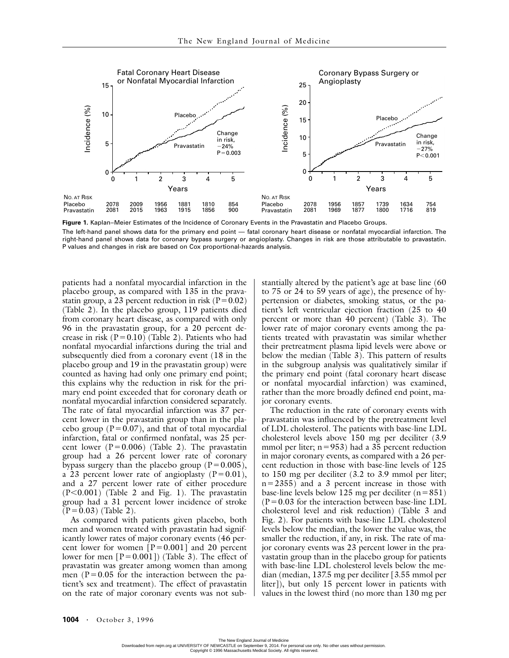

**Figure 1.** Kaplan–Meier Estimates of the Incidence of Coronary Events in the Pravastatin and Placebo Groups. The left-hand panel shows data for the primary end point — fatal coronary heart disease or nonfatal myocardial infarction. The right-hand panel shows data for coronary bypass surgery or angioplasty. Changes in risk are those attributable to pravastatin. P values and changes in risk are based on Cox proportional-hazards analysis.

patients had a nonfatal myocardial infarction in the placebo group, as compared with 135 in the pravastatin group, a 23 percent reduction in risk ( $P = 0.02$ ) (Table 2). In the placebo group, 119 patients died from coronary heart disease, as compared with only 96 in the pravastatin group, for a 20 percent decrease in risk  $(P=0.10)$  (Table 2). Patients who had nonfatal myocardial infarctions during the trial and subsequently died from a coronary event (18 in the placebo group and 19 in the pravastatin group) were counted as having had only one primary end point; this explains why the reduction in risk for the primary end point exceeded that for coronary death or nonfatal myocardial infarction considered separately. The rate of fatal myocardial infarction was 37 percent lower in the pravastatin group than in the placebo group ( $P = 0.07$ ), and that of total myocardial infarction, fatal or confirmed nonfatal, was 25 percent lower  $(P=0.006)$  (Table 2). The pravastatin group had a 26 percent lower rate of coronary bypass surgery than the placebo group ( $P = 0.005$ ), a 23 percent lower rate of angioplasty  $(P=0.01)$ , and a 27 percent lower rate of either procedure  $(P<0.001)$  (Table 2 and Fig. 1). The pravastatin group had a 31 percent lower incidence of stroke  $(P = 0.03)$  (Table 2).

As compared with patients given placebo, both men and women treated with pravastatin had significantly lower rates of major coronary events (46 percent lower for women  $[P=0.001]$  and 20 percent lower for men  $[P=0.001]$ ) (Table 3). The effect of pravastatin was greater among women than among men ( $P = 0.05$  for the interaction between the patient's sex and treatment). The effect of pravastatin on the rate of major coronary events was not substantially altered by the patient's age at base line (60 to 75 or 24 to 59 years of age), the presence of hypertension or diabetes, smoking status, or the patient's left ventricular ejection fraction (25 to 40 percent or more than 40 percent) (Table 3). The lower rate of major coronary events among the patients treated with pravastatin was similar whether their pretreatment plasma lipid levels were above or below the median (Table 3). This pattern of results in the subgroup analysis was qualitatively similar if the primary end point (fatal coronary heart disease or nonfatal myocardial infarction) was examined, rather than the more broadly defined end point, major coronary events.

The reduction in the rate of coronary events with pravastatin was influenced by the pretreatment level of LDL cholesterol. The patients with base-line LDL cholesterol levels above 150 mg per deciliter (3.9 mmol per liter; n=953) had a 35 percent reduction in major coronary events, as compared with a 26 percent reduction in those with base-line levels of 125 to 150 mg per deciliter (3.2 to 3.9 mmol per liter; n-2355) and a 3 percent increase in those with base-line levels below 125 mg per deciliter  $(n=851)$  $(P = 0.03$  for the interaction between base-line LDL cholesterol level and risk reduction) (Table 3 and Fig. 2). For patients with base-line LDL cholesterol levels below the median, the lower the value was, the smaller the reduction, if any, in risk. The rate of major coronary events was 23 percent lower in the pravastatin group than in the placebo group for patients with base-line LDL cholesterol levels below the median (median, 137.5 mg per deciliter [3.55 mmol per liter]), but only 15 percent lower in patients with values in the lowest third (no more than 130 mg per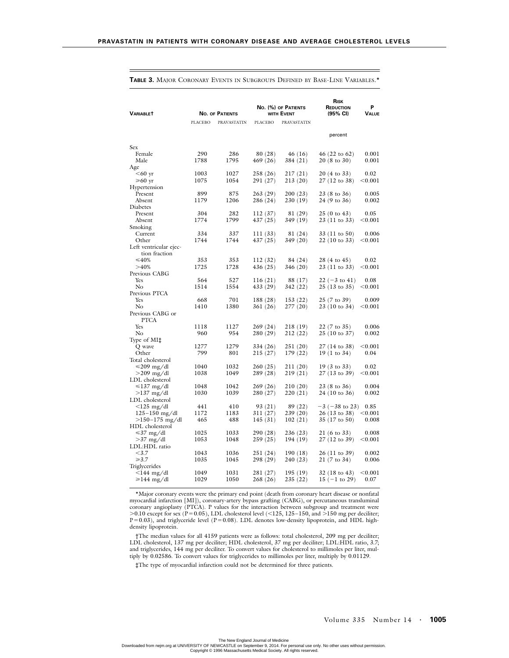| <b>VARIABLET</b>                |                | <b>NO. OF PATIENTS</b> |                      | No. (%) OF PATIENTS<br>WITH EVENT |                               |                 | RISK<br>REDUCTION<br>$(95% \text{ Cl})$ | P<br>Value |
|---------------------------------|----------------|------------------------|----------------------|-----------------------------------|-------------------------------|-----------------|-----------------------------------------|------------|
|                                 | <b>PLACEBO</b> | PRAVASTATIN            | <b>PLACEBO</b>       | PRAVASTATIN                       |                               |                 |                                         |            |
|                                 |                |                        |                      |                                   | percent                       |                 |                                         |            |
| <b>Sex</b>                      |                |                        |                      |                                   |                               |                 |                                         |            |
| Female                          | 290            | 286                    | 80 (28)              | 46 (16)                           | $46(22 \text{ to } 62)$       | 0.001           |                                         |            |
| Male                            | 1788           | 1795                   | 469 (26)             | 384 (21)                          | $20(8 \text{ to } 30)$        | 0.001           |                                         |            |
| Age                             |                |                        |                      |                                   |                               |                 |                                         |            |
| $<$ 60 yr<br>$≥60$ yr           | 1003<br>1075   | 1027<br>1054           | 258 (26)             | 217 (21)                          | 20 (4 to 33)                  | 0.02<br>$0.001$ |                                         |            |
| Hypertension                    |                |                        | 291 (27)             | 213 (20)                          | 27 (12 to 38)                 |                 |                                         |            |
| Present                         | 899            | 875                    | 263 (29)             | 200 (23)                          | 23 (8 to 36)                  | 0.005           |                                         |            |
| Absent                          | 1179           | 1206                   | 286 (24)             | 230 (19)                          | 24 (9 to 36)                  | 0.002           |                                         |            |
| Diabetes                        |                |                        |                      |                                   |                               |                 |                                         |            |
| Present                         | 304            | 282                    | 112(37)              | 81 (29)                           | $25(0 \text{ to } 43)$        | 0.05            |                                         |            |
| Absent                          | 1774           | 1799                   | 437 (25)             | 349 (19)                          | 23 (11 to 33)                 | $<$ 0.001 $\,$  |                                         |            |
| Smoking                         |                |                        |                      |                                   |                               |                 |                                         |            |
| Current                         | 334            | 337                    | 111(33)              | 81 (24)                           | 33 (11 to 50)                 | 0.006           |                                         |            |
| Other                           | 1744           | 1744                   | 437 (25)             | 349 (20)                          | $22(10 \text{ to } 33)$       | $<$ 0.001 $\,$  |                                         |            |
| Left ventricular ejec-          |                |                        |                      |                                   |                               |                 |                                         |            |
| tion fraction                   |                |                        |                      |                                   |                               |                 |                                         |            |
| $\leq 40\%$<br>>40%             | 353            | 353                    | 112(32)              | 84 (24)                           | 28 (4 to 45)                  | 0.02            |                                         |            |
| Previous CABG                   | 1725           | 1728                   | 436 (25)             | 346 (20)                          | 23 (11 to 33)                 | $<$ 0.001 $\,$  |                                         |            |
| Yes                             | 564            | 527                    | 116(21)              | 88 (17)                           | $22 (-3)$ to 41)              | 0.08            |                                         |            |
| No                              | 1514           | 1554                   | 433 (29)             | 342 (22)                          | 25 (13 to 35)                 | < 0.001         |                                         |            |
| Previous PTCA                   |                |                        |                      |                                   |                               |                 |                                         |            |
| Yes                             | 668            | 701                    | 188 (28)             | 153(22)                           | 25 (7 to 39)                  | 0.009           |                                         |            |
| $\rm No$                        | 1410           | 1380                   | 361 (26)             | 277 (20)                          | 23 (10 to 34)                 | $0.001$         |                                         |            |
| Previous CABG or                |                |                        |                      |                                   |                               |                 |                                         |            |
| <b>PTCA</b>                     |                |                        |                      |                                   |                               |                 |                                         |            |
| Yes                             | 1118           | 1127                   | 269(24)              | 218 (19)                          | 22 (7 to 35)                  | 0.006           |                                         |            |
| No                              | 960            | 954                    | 280 (29)             | 212 (22)                          | $25(10 \text{ to } 37)$       | 0.002           |                                         |            |
| Type of MI‡                     |                |                        |                      |                                   |                               |                 |                                         |            |
| Q wave                          | 1277           | 1279                   | 334 (26)             | 251 (20)                          | 27 (14 to 38)                 | $<$ 0.001 $\,$  |                                         |            |
| Other                           | 799            | 801                    | 215 (27)             | 179 (22)                          | $19(1 \text{ to } 34)$        | 0.04            |                                         |            |
| Total cholesterol<br>≤209 mg/dl | 1040           | 1032                   | 260(25)              | 211 (20)                          | $19(3 \text{ to } 33)$        | 0.02            |                                         |            |
| $>$ 209 mg/dl                   | 1038           | 1049                   | 289 (28)             | 219 (21)                          | 27 (13 to 39)                 | $0.001$         |                                         |            |
| LDL cholesterol                 |                |                        |                      |                                   |                               |                 |                                         |            |
| $\leq 137$ mg/dl                | 1048           | 1042                   | 269 (26)             | 210 (20)                          | $23(8 \text{ to } 36)$        | 0.004           |                                         |            |
| $>137$ mg/dl                    | 1030           | 1039                   | 280 (27)             | 220 (21)                          | $24(10 \text{ to } 36)$       | 0.002           |                                         |            |
| LDL cholesterol                 |                |                        |                      |                                   |                               |                 |                                         |            |
| $<$ 125 mg/dl                   | 441            | 410                    | 93 (21)              | 89 (22)                           | $-3$ ( $-38$ to 23)           | 0.85            |                                         |            |
| $125 - 150$ mg/dl               | 1172           | 1183                   | 311 (27)             | 239 (20)                          | 26 (13 to 38)                 | $<$ 0.001 $\,$  |                                         |            |
| $>150-175$ mg/dl                | 465            | 488                    | 145(31)              | 102(21)                           | $35(17 \text{ to } 50)$       | 0.008           |                                         |            |
| HDL cholesterol                 |                |                        |                      |                                   |                               |                 |                                         |            |
| ≤37 mg/dl                       | 1025           | 1033                   | 290 (28)             | 236 (23)                          | 21 (6 to 33)                  | 0.008           |                                         |            |
| $>37$ mg/dl                     | 1053           | 1048                   | 259 (25)             | 194 (19)                          | 27 (12 to 39)                 | $<$ 0.001 $\,$  |                                         |            |
| LDL:HDL ratio                   |                |                        |                      |                                   |                               |                 |                                         |            |
| $<$ 3.7<br>$\geq 3.7$           | 1043<br>1035   | 1036<br>1045           | 251 (24)<br>298 (29) | 190(18)<br>240 (23)               | 26 (11 to 39)<br>21 (7 to 34) | 0.002<br>0.006  |                                         |            |
| Triglycerides                   |                |                        |                      |                                   |                               |                 |                                         |            |
| $<$ 144 mg/dl                   | 1049           | 1031                   | 281 (27)             | 195 (19)                          | $32(18 \text{ to } 43)$       | $<$ 0.001 $\,$  |                                         |            |
| $\geq 144$ mg/dl                | 1029           | 1050                   | 268 (26)             | 235 (22)                          | $15$ ( $-1$ to $29$ )         | 0.07            |                                         |            |
|                                 |                |                        |                      |                                   |                               |                 |                                         |            |

**TABLE 3.** MAJOR CORONARY EVENTS IN SUBGROUPS DEFINED BY BASE-LINE VARIABLES.\*

\*Major coronary events were the primary end point (death from coronary heart disease or nonfatal myocardial infarction [MI]), coronary-artery bypass grafting (CABG), or percutaneous transluminal coronary angioplasty (PTCA). P values for the interaction between subgroup and treatment were<br>>0.10 except for sex (P=0.05), LDL cholesterol level (<125, 125–150, and >150 mg per deciliter;  $P = 0.03$ ), and triglyceride level ( $P = 0.08$ ). LDL denotes low-density lipoprotein, and HDL highdensity lipoprotein.

†The median values for all 4159 patients were as follows: total cholesterol, 209 mg per deciliter; LDL cholesterol, 137 mg per deciliter; HDL cholesterol, 37 mg per deciliter; LDL:HDL ratio, 3.7; and triglycerides, 144 mg per deciliter. To convert values for cholesterol to millimoles per liter, multiply by 0.02586. To convert values for triglycerides to millimoles per liter, multiply by 0.01129.

‡The type of myocardial infarction could not be determined for three patients.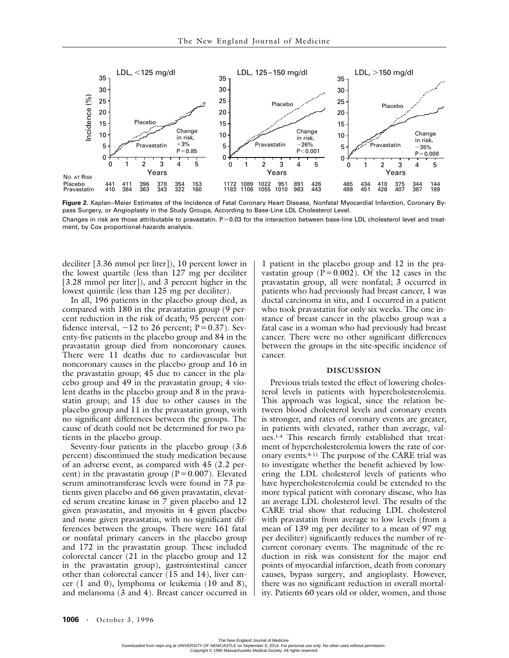

**Figure 2.** Kaplan–Meier Estimates of the Incidence of Fatal Coronary Heart Disease, Nonfatal Myocardial Infarction, Coronary Bypass Surgery, or Angioplasty in the Study Groups, According to Base-Line LDL Cholesterol Level. Changes in risk are those attributable to pravastatin. P=0.03 for the interaction between base-line LDL cholesterol level and treatment, by Cox proportional-hazards analysis.

deciliter [3.36 mmol per liter]), 10 percent lower in the lowest quartile (less than 127 mg per deciliter [3.28 mmol per liter]), and 3 percent higher in the lowest quintile (less than 125 mg per deciliter).

In all, 196 patients in the placebo group died, as compared with 180 in the pravastatin group (9 percent reduction in the risk of death; 95 percent confidence interval,  $-12$  to 26 percent;  $P = 0.37$ ). Seventy-five patients in the placebo group and 84 in the pravastatin group died from noncoronary causes. There were 11 deaths due to cardiovascular but noncoronary causes in the placebo group and 16 in the pravastatin group; 45 due to cancer in the placebo group and 49 in the pravastatin group; 4 violent deaths in the placebo group and 8 in the pravastatin group; and 15 due to other causes in the placebo group and 11 in the pravastatin group, with no significant differences between the groups. The cause of death could not be determined for two patients in the placebo group.

Seventy-four patients in the placebo group (3.6 percent) discontinued the study medication because of an adverse event, as compared with 45 (2.2 percent) in the pravastatin group ( $P = 0.007$ ). Elevated serum aminotransferase levels were found in 73 patients given placebo and 66 given pravastatin, elevated serum creatine kinase in 7 given placebo and 12 given pravastatin, and myositis in 4 given placebo and none given pravastatin, with no significant differences between the groups. There were 161 fatal or nonfatal primary cancers in the placebo group and 172 in the pravastatin group. These included colorectal cancer (21 in the placebo group and 12 in the pravastatin group), gastrointestinal cancer other than colorectal cancer (15 and 14), liver cancer (1 and 0), lymphoma or leukemia (10 and 8), and melanoma (3 and 4). Breast cancer occurred in

1 patient in the placebo group and 12 in the pravastatin group ( $P = 0.002$ ). Of the 12 cases in the pravastatin group, all were nonfatal; 3 occurred in patients who had previously had breast cancer, 1 was ductal carcinoma in situ, and 1 occurred in a patient who took pravastatin for only six weeks. The one instance of breast cancer in the placebo group was a fatal case in a woman who had previously had breast cancer. There were no other significant differences between the groups in the site-specific incidence of cancer.

## **DISCUSSION**

Previous trials tested the effect of lowering cholesterol levels in patients with hypercholesterolemia. This approach was logical, since the relation between blood cholesterol levels and coronary events is stronger, and rates of coronary events are greater, in patients with elevated, rather than average, values.1-4 This research firmly established that treatment of hypercholesterolemia lowers the rate of coronary events.8-11 The purpose of the CARE trial was to investigate whether the benefit achieved by lowering the LDL cholesterol levels of patients who have hypercholesterolemia could be extended to the more typical patient with coronary disease, who has an average LDL cholesterol level. The results of the CARE trial show that reducing LDL cholesterol with pravastatin from average to low levels (from a mean of 139 mg per deciliter to a mean of 97 mg per deciliter) significantly reduces the number of recurrent coronary events. The magnitude of the reduction in risk was consistent for the major end points of myocardial infarction, death from coronary causes, bypass surgery, and angioplasty. However, there was no significant reduction in overall mortality. Patients 60 years old or older, women, and those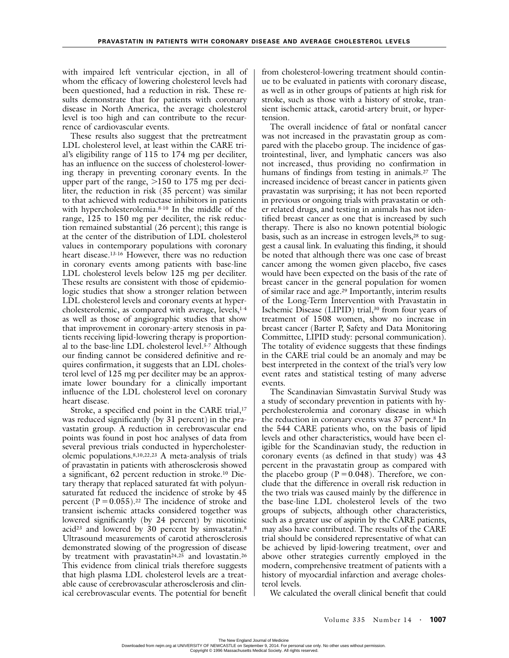with impaired left ventricular ejection, in all of whom the efficacy of lowering cholesterol levels had been questioned, had a reduction in risk. These results demonstrate that for patients with coronary disease in North America, the average cholesterol level is too high and can contribute to the recurrence of cardiovascular events.

These results also suggest that the pretreatment LDL cholesterol level, at least within the CARE trial's eligibility range of 115 to 174 mg per deciliter, has an influence on the success of cholesterol-lowering therapy in preventing coronary events. In the upper part of the range,  $>150$  to 175 mg per deciliter, the reduction in risk (35 percent) was similar to that achieved with reductase inhibitors in patients with hypercholesterolemia.8-10 In the middle of the range, 125 to 150 mg per deciliter, the risk reduction remained substantial (26 percent); this range is at the center of the distribution of LDL cholesterol values in contemporary populations with coronary heart disease.<sup>13-16</sup> However, there was no reduction in coronary events among patients with base-line LDL cholesterol levels below 125 mg per deciliter. These results are consistent with those of epidemiologic studies that show a stronger relation between LDL cholesterol levels and coronary events at hypercholesterolemic, as compared with average, levels,<sup>1-4</sup> as well as those of angiographic studies that show that improvement in coronary-artery stenosis in patients receiving lipid-lowering therapy is proportional to the base-line LDL cholesterol level.5-7 Although our finding cannot be considered definitive and requires confirmation, it suggests that an LDL cholesterol level of 125 mg per deciliter may be an approximate lower boundary for a clinically important influence of the LDL cholesterol level on coronary heart disease.

Stroke, a specified end point in the CARE trial,<sup>17</sup> was reduced significantly (by 31 percent) in the pravastatin group. A reduction in cerebrovascular end points was found in post hoc analyses of data from several previous trials conducted in hypercholesterolemic populations.8,10,22,23 A meta-analysis of trials of pravastatin in patients with atherosclerosis showed a significant, 62 percent reduction in stroke.10 Dietary therapy that replaced saturated fat with polyunsaturated fat reduced the incidence of stroke by 45 percent  $(P = 0.055)$ .<sup>22</sup> The incidence of stroke and transient ischemic attacks considered together was lowered significantly (by 24 percent) by nicotinic acid<sup>23</sup> and lowered by 30 percent by simvastatin.<sup>8</sup> Ultrasound measurements of carotid atherosclerosis demonstrated slowing of the progression of disease by treatment with pravastatin<sup>24,25</sup> and lovastatin.<sup>26</sup> This evidence from clinical trials therefore suggests that high plasma LDL cholesterol levels are a treatable cause of cerebrovascular atherosclerosis and clinical cerebrovascular events. The potential for benefit

from cholesterol-lowering treatment should continue to be evaluated in patients with coronary disease, as well as in other groups of patients at high risk for stroke, such as those with a history of stroke, transient ischemic attack, carotid-artery bruit, or hypertension.

The overall incidence of fatal or nonfatal cancer was not increased in the pravastatin group as compared with the placebo group. The incidence of gastrointestinal, liver, and lymphatic cancers was also not increased, thus providing no confirmation in humans of findings from testing in animals.<sup>27</sup> The increased incidence of breast cancer in patients given pravastatin was surprising; it has not been reported in previous or ongoing trials with pravastatin or other related drugs, and testing in animals has not identified breast cancer as one that is increased by such therapy. There is also no known potential biologic basis, such as an increase in estrogen levels,<sup>28</sup> to suggest a causal link. In evaluating this finding, it should be noted that although there was one case of breast cancer among the women given placebo, five cases would have been expected on the basis of the rate of breast cancer in the general population for women of similar race and age.29 Importantly, interim results of the Long-Term Intervention with Pravastatin in Ischemic Disease (LIPID) trial,30 from four years of treatment of 1508 women, show no increase in breast cancer (Barter P, Safety and Data Monitoring Committee, LIPID study: personal communication). The totality of evidence suggests that these findings in the CARE trial could be an anomaly and may be best interpreted in the context of the trial's very low event rates and statistical testing of many adverse events.

The Scandinavian Simvastatin Survival Study was a study of secondary prevention in patients with hypercholesterolemia and coronary disease in which the reduction in coronary events was 37 percent.8 In the 544 CARE patients who, on the basis of lipid levels and other characteristics, would have been eligible for the Scandinavian study, the reduction in coronary events (as defined in that study) was 43 percent in the pravastatin group as compared with the placebo group ( $P = 0.048$ ). Therefore, we conclude that the difference in overall risk reduction in the two trials was caused mainly by the difference in the base-line LDL cholesterol levels of the two groups of subjects, although other characteristics, such as a greater use of aspirin by the CARE patients, may also have contributed. The results of the CARE trial should be considered representative of what can be achieved by lipid-lowering treatment, over and above other strategies currently employed in the modern, comprehensive treatment of patients with a history of myocardial infarction and average cholesterol levels.

We calculated the overall clinical benefit that could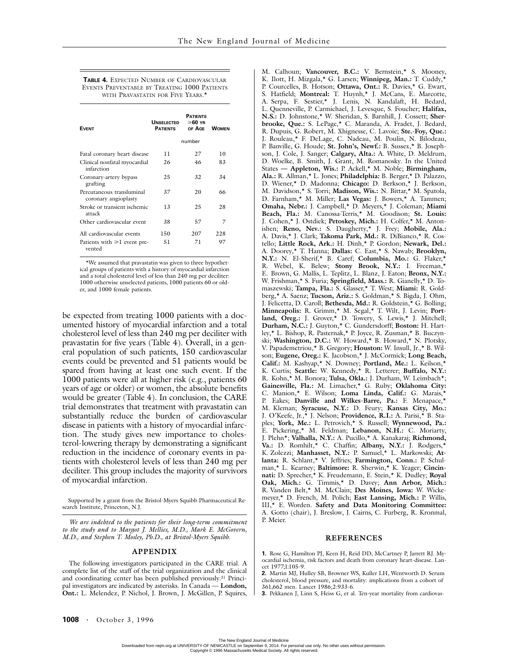#### **TABLE 4.** EXPECTED NUMBER OF CARDIOVASCULAR EVENTS PREVENTABLE BY TREATING 1000 PATIENTS WITH PRAVASTATIN FOR FIVE YEARS<sup>\*</sup>

| <b>FVFNT</b>                                      | <b>UNSELECTED</b><br><b>PATIFNTS</b> | <b>PATIFNTS</b><br>≳60 ∨в<br>OF AGE | <b>WOMEN</b> |  |
|---------------------------------------------------|--------------------------------------|-------------------------------------|--------------|--|
|                                                   | number                               |                                     |              |  |
| Fatal coronary heart disease                      | 11                                   | 27                                  | 10           |  |
| Clinical nonfatal myocardial<br>infarction        | 26                                   | 46                                  | 83           |  |
| Coronary-artery bypass<br>grafting                | 25                                   | 32                                  | 34           |  |
| Percutaneous transluminal<br>coronary angioplasty | 37                                   | 20                                  | 66           |  |
| Stroke or transient ischemic<br>attack            | 13                                   | 25                                  | 28           |  |
| Other cardiovascular event                        | 38                                   | 57                                  | 7            |  |
| All cardiovascular events                         | 150                                  | 207                                 | 228          |  |
| Patients with $\geq 1$ event pre-<br>vented       | 51                                   | 71                                  | 97           |  |

\*We assumed that pravastatin was given to three hypothetical groups of patients with a history of myocardial infarction and a total cholesterol level of less than 240 mg per deciliter: 1000 otherwise unselected patients, 1000 patients 60 or older, and 1000 female patients.

be expected from treating 1000 patients with a documented history of myocardial infarction and a total cholesterol level of less than 240 mg per deciliter with pravastatin for five years (Table 4). Overall, in a general population of such patients, 150 cardiovascular events could be prevented and 51 patients would be spared from having at least one such event. If the 1000 patients were all at higher risk (e.g., patients 60 years of age or older) or women, the absolute benefits would be greater (Table 4). In conclusion, the CARE trial demonstrates that treatment with pravastatin can substantially reduce the burden of cardiovascular disease in patients with a history of myocardial infarction. The study gives new importance to cholesterol-lowering therapy by demonstrating a significant reduction in the incidence of coronary events in patients with cholesterol levels of less than 240 mg per deciliter. This group includes the majority of survivors of myocardial infarction.

Supported by a grant from the Bristol-Myers Squibb Pharmaceutical Research Institute, Princeton, N.J.

*We are indebted to the patients for their long-term commitment to the study and to Margot J. Mellies, M.D., Mark E. McGovern, M.D., and Stephen T. Mosley, Ph.D., at Bristol-Myers Squibb.*

## **APPENDIX**

The following investigators participated in the CARE trial. A complete list of the staff of the trial organization and the clinical and coordinating center has been published previously.31 Principal investigators are indicated by asterisks. In Canada — **London, Ont.:** L. Melendez, P. Nichol, J. Brown, J. McGillen, P. Squires, M. Calhoun; **Vancouver, B.C.:** V. Bernstein,\* S. Mooney, K. Ilott, H. Mizgala,\* G. Larsen; **Winnipeg, Man.:** T. Cuddy,\* P. Courcelles, B. Hotson; **Ottawa, Ont.:** R. Davies,\* G. Ewart, S. Hatfield; **Montreal:** T. Huynh,\* J. McCans, E. Marcotte, A. Serpa, F. Sestier,\* J. Lenis, N. Kandalaft, H. Bedard, L. Quenneville, P. Carmichael, J. Levesque, S. Foucher; **Halifax, N.S.:** D. Johnstone,\* W. Sheridan, S. Barnhill, J. Cossett; **Sherbrooke, Que.:** S. LePage,\* C. Maranda, A. Fradet, J. Bedard, R. Dupuis, G. Robert, M. Xhignesse, C. Lavoie; **Ste.-Foy, Que.:** J. Rouleau,\* F. DeLage, C. Nadeau, M. Poulin, N. Bilodeau, P. Banville, G. Houde; **St. John's, Newf.:** B. Sussex,\* B. Josephson, J. Cole, J. Sanger; **Calgary, Alta.:** A. White, D. Meldrum, D. Woelke, B. Smith, J. Grant, M. Romanosky. In the United States **— Appleton, Wis.:** P. Ackell,\* M. Noble; **Birmingham, Ala.:** R. Allman,\* L. Jones; **Philadelphia:** B. Berger,\* D. Palazzo, D. Wiener,\* D. Madonna; **Chicago:** D. Berkson,\* J. Berkson, M. Davidson,\* S. Torri; **Madison, Wis.:** N. Bittar,\* M. Spatola, D. Farnham,\* M. Miller; **Las Vegas:** J. Bowers,\* A. Tammen; **Omaha, Nebr.:** J. Campbell,\* D. Meyers,\* J. Coleman; **Miami Beach, Fla.:** M. Canossa-Terris,\* M. Goodison; **St. Louis:** J. Cohen,\* J. Ostdiek; **Petoskey, Mich.:** H. Colfer,\* M. Antonishen; **Reno, Nev.:** S. Daugherty,\* J. Frey; **Mobile, Ala.:** A. Davis,\* J. Clark; **Takoma Park, Md.:** R. DiBianco,\* R. Costello; **Little Rock, Ark.:** H. Dinh,\* P. Gordon; **Newark, Del.:** A. Doorey,\* T. Hanna; **Dallas:** C. East,\* S. Nawab; **Brooklyn, N.Y.:** N. El-Sherif,\* B. Caref; **Columbia, Mo.:** G. Flaker,\* R. Webel, K. Belew; **Stony Brook, N.Y.:** I. Freeman,\* E. Brown, G. Mallis, L. Teplitz, L. Blanz, J. Eaton; **Bronx, N.Y.:** W. Frishman,\* S. Furia; **Springfield, Mass.:** R. Gianelly,\* D. Tomaszewski; **Tampa, Fla.:** S. Glasser,\* T. West; **Miami:** R. Goldberg,\* A. Saenz; **Tucson, Ariz.:** S. Goldman,\* S. Bigda, J. Ohm, J. Felicetta, D. Caroll; **Bethesda, Md.:** R. Goldstein,\* G. Bolling; **Minneapolis:** R. Grimm,\* M. Segal,\* T. Wilt, J. Levin; **Portland, Oreg.:** J. Grover,\* D. Towery, S. Lewis,\* J. Mitchell; **Durham, N.C.:** J. Guyton,\* C. Gundersdorff; **Boston:** H. Hartley,\* L. Bishop, R. Pasternak,\* P. Joyce, R. Zusman,\* B. Buczynski; **Washington, D.C.:** W. Howard,\* B. Howard,\* N. Plotsky, V. Papademetriou,\* B. Gregory; **Houston:** W. Insull, Jr.,\* B. Wilson; **Eugene, Oreg.:** K. Jacobson,\* J. McCormick; **Long Beach, Calif.:** M. Kashyap,\* N. Downey; **Portland, Me.:** L. Keilson,\* K. Curtis; **Seattle:** W. Kennedy,\* R. Letterer; **Buffalo, N.Y.:** R. Kohn,\* M. Bonora; **Tulsa, Okla.:** J. Durham, W. Leimbach\*; **Gainesville, Fla.:** M. Limacher,\* G. Ruby; **Oklahoma City:** C. Manion,\* E. Wilson; **Loma Linda, Calif.:** G. Marais,\* P. Eakes; **Danville and Wilkes-Barre, Pa.:** F. Menapace,\* M. Kleman; **Syracuse, N.Y.:** D. Feury; **Kansas City, Mo.:** J. O'Keefe, Jr.,\* J. Nelson; **Providence, R.I.:** A. Parisi,\* B. Staples; **York, Me.:** L. Petrovich,\* S. Russell; **Wynnewood, Pa.:** E. Pickering,\* M. Feldman; **Lebanon, N.H.:** C. Moriarty, J. Plehn\*; **Valhalla, N.Y.:** A. Pucillo,\* A. Kanakaraj; **Richmond, Va.:** D. Romhilt,\* C. Chaffin; **Albany, N.Y.:** J. Rodgers,\* K. Zolezzi; **Manhasset, N.Y.:** P. Samuel,\* L. Markowski; **Atlanta:** R. Schlant,\* V. Jeffries; **Farmington, Conn.:** P. Schulman,\* L. Kearney; **Baltimore:** R. Sherwin,\* K. Yeager; **Cincinnati:** D. Sprecher,\* K. Freudemann, E. Stein,\* K. Dudley; **Royal Oak, Mich.:** G. Timmis,\* D. Davey; **Ann Arbor, Mich.:** R. Vanden Belt,\* M. McClain; **Des Moines, Iowa:** W. Wickemeyer,\* D. French, M. Polich; **East Lansing, Mich.:** P. Willis, III,\* E. Worden. **Safety and Data Monitoring Committee:** A. Gotto (chair), J. Breslow, J. Cairns, C. Furberg, R. Kronmal, P. Meier.

## **REFERENCES**

**1.** Rose G, Hamilton PJ, Keen H, Reid DD, McCartney P, Jarrett RJ. Myocardial ischemia, risk factors and death from coronary heart-disease. Lancet 1977;1:105-9.

**2.** Martin MJ, Hulley SB, Browner WS, Kuller LH, Wentworth D. Serum cholesterol, blood pressure, and mortality: implications from a cohort of 361,662 men. Lancet 1986;2:933-6.

**3.** Pekkanen J, Linn S, Heiss G, et al. Ten-year mortality from cardiovas-